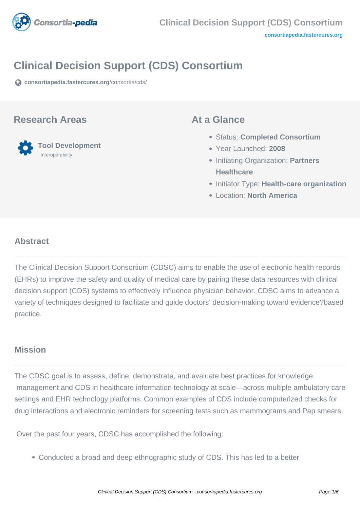

# **Clinical Decision Support (CDS) Consortium**

**[consortiapedia.fastercures.org](https://consortiapedia.fastercures.org/consortia/cds/)**[/consortia/cds/](https://consortiapedia.fastercures.org/consortia/cds/)

### **Research Areas**

 **Tool Development** Interoperability

### **At a Glance**

- Status: **Completed Consortium**
- Year Launched: **2008**
- **Initiating Organization: Partners Healthcare**
- **Initiator Type: Health-care organization**
- Location: **North America**

### $\overline{a}$ **Abstract**

The Clinical Decision Support Consortium (CDSC) aims to enable the use of electronic health records (EHRs) to improve the safety and quality of medical care by pairing these data resources with clinical decision support (CDS) systems to effectively influence physician behavior. CDSC aims to advance a variety of techniques designed to facilitate and guide doctors' decision-making toward evidence?based practice.

## **Mission**

The CDSC goal is to assess, define, demonstrate, and evaluate best practices for knowledge management and CDS in healthcare information technology at scale—across multiple ambulatory care settings and EHR technology platforms. Common examples of CDS include computerized checks for drug interactions and electronic reminders for screening tests such as mammograms and Pap smears.

Over the past four years, CDSC has accomplished the following:

Conducted a broad and deep ethnographic study of CDS. This has led to a better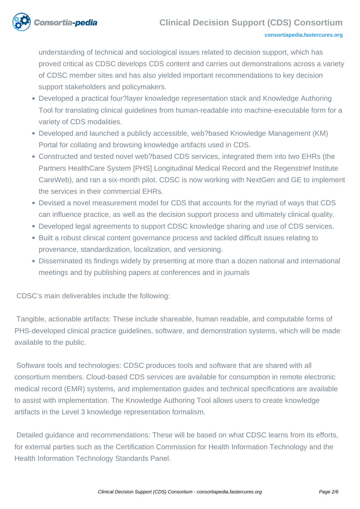

### **Clinical Decision Support (CDS) Consortium**

#### **[consortiapedia.fastercures.org](http://consortiapedia.fastercures.org/)**

understanding of technical and sociological issues related to decision support, which has proved critical as CDSC develops CDS content and carries out demonstrations across a variety of CDSC member sites and has also yielded important recommendations to key decision support stakeholders and policymakers.

- Developed a practical four?layer knowledge representation stack and Knowledge Authoring Tool for translating clinical guidelines from human-readable into machine-executable form for a variety of CDS modalities.
- Developed and launched a publicly accessible, web?based Knowledge Management (KM) Portal for collating and browsing knowledge artifacts used in CDS.
- Constructed and tested novel web?based CDS services, integrated them into two EHRs (the Partners HealthCare System [PHS] Longitudinal Medical Record and the Regenstrief Institute CareWeb), and ran a six-month pilot. CDSC is now working with NextGen and GE to implement the services in their commercial EHRs.
- Devised a novel measurement model for CDS that accounts for the myriad of ways that CDS can influence practice, as well as the decision support process and ultimately clinical quality.
- Developed legal agreements to support CDSC knowledge sharing and use of CDS services.
- Built a robust clinical content governance process and tackled difficult issues relating to provenance, standardization, localization, and versioning.
- Disseminated its findings widely by presenting at more than a dozen national and international meetings and by publishing papers at conferences and in journals

CDSC's main deliverables include the following:

 Tangible, actionable artifacts: These include shareable, human readable, and computable forms of PHS-developed clinical practice guidelines, software, and demonstration systems, which will be made available to the public.

 Software tools and technologies: CDSC produces tools and software that are shared with all consortium members. Cloud-based CDS services are available for consumption in remote electronic medical record (EMR) systems, and implementation guides and technical specifications are available to assist with implementation. The Knowledge Authoring Tool allows users to create knowledge artifacts in the Level 3 knowledge representation formalism.

 Detailed guidance and recommendations: These will be based on what CDSC learns from its efforts, for external parties such as the Certification Commission for Health Information Technology and the Health Information Technology Standards Panel.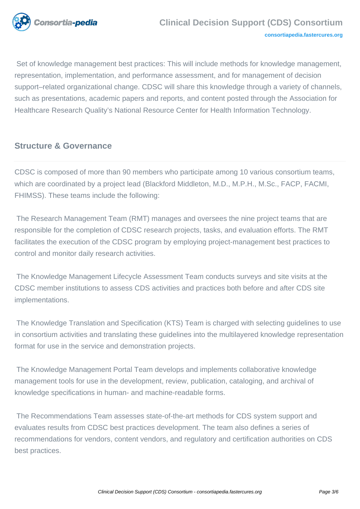

 Set of knowledge management best practices: This will include methods for knowledge management, representation, implementation, and performance assessment, and for management of decision support–related organizational change. CDSC will share this knowledge through a variety of channels, such as presentations, academic papers and reports, and content posted through the Association for Healthcare Research Quality's National Resource Center for Health Information Technology.

# **Structure & Governance**

CDSC is composed of more than 90 members who participate among 10 various consortium teams, which are coordinated by a project lead (Blackford Middleton, M.D., M.P.H., M.Sc., FACP, FACMI, FHIMSS). These teams include the following:

 The Research Management Team (RMT) manages and oversees the nine project teams that are responsible for the completion of CDSC research projects, tasks, and evaluation efforts. The RMT facilitates the execution of the CDSC program by employing project-management best practices to control and monitor daily research activities.

 The Knowledge Management Lifecycle Assessment Team conducts surveys and site visits at the CDSC member institutions to assess CDS activities and practices both before and after CDS site implementations.

 The Knowledge Translation and Specification (KTS) Team is charged with selecting guidelines to use in consortium activities and translating these guidelines into the multilayered knowledge representation format for use in the service and demonstration projects.

 The Knowledge Management Portal Team develops and implements collaborative knowledge management tools for use in the development, review, publication, cataloging, and archival of knowledge specifications in human- and machine-readable forms.

 The Recommendations Team assesses state-of-the-art methods for CDS system support and evaluates results from CDSC best practices development. The team also defines a series of recommendations for vendors, content vendors, and regulatory and certification authorities on CDS best practices.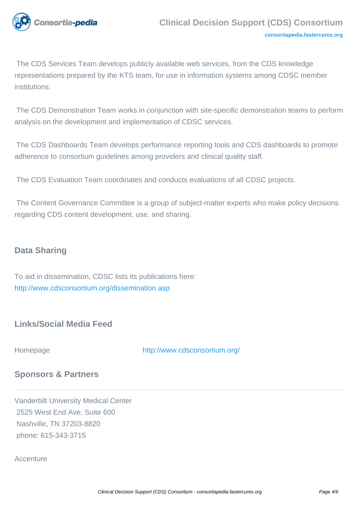

 The CDS Services Team develops publicly available web services, from the CDS knowledge representations prepared by the KTS team, for use in information systems among CDSC member institutions.

 The CDS Demonstration Team works in conjunction with site-specific demonstration teams to perform analysis on the development and implementation of CDSC services.

 The CDS Dashboards Team develops performance reporting tools and CDS dashboards to promote adherence to consortium guidelines among providers and clinical quality staff.

The CDS Evaluation Team coordinates and conducts evaluations of all CDSC projects.

 The Content Governance Committee is a group of subject-matter experts who make policy decisions regarding CDS content development, use, and sharing.

## **Data Sharing**

To aid in dissemination, CDSC lists its publications here: <http://www.cdsconsortium.org/dissemination.asp>

# **Links/Social Media Feed**

Homepage <http://www.cdsconsortium.org/>

## **Sponsors & Partners**

Vanderbilt University Medical Center 2525 West End Ave, Suite 600 Nashville, TN 37203-8820 phone: 615-343-3715

### **Accenture**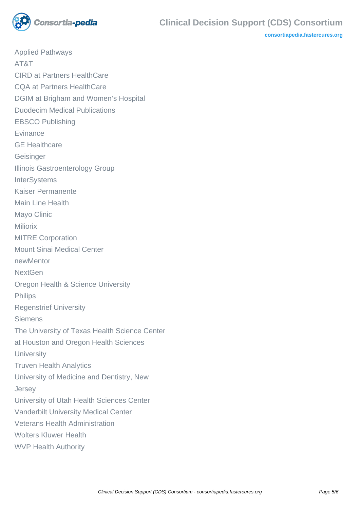

**[consortiapedia.fastercures.org](http://consortiapedia.fastercures.org/)**

Applied Pathways AT&T CIRD at Partners HealthCare CQA at Partners HealthCare DGIM at Brigham and Women's Hospital Duodecim Medical Publications EBSCO Publishing **Evinance** GE Healthcare Geisinger Illinois Gastroenterology Group **InterSystems** Kaiser Permanente Main Line Health Mayo Clinic **Miliorix** MITRE Corporation Mount Sinai Medical Center newMentor **NextGen** Oregon Health & Science University **Philips** Regenstrief University Siemens The University of Texas Health Science Center at Houston and Oregon Health Sciences **University** Truven Health Analytics University of Medicine and Dentistry, New **Jersey** University of Utah Health Sciences Center Vanderbilt University Medical Center Veterans Health Administration Wolters Kluwer Health WVP Health Authority